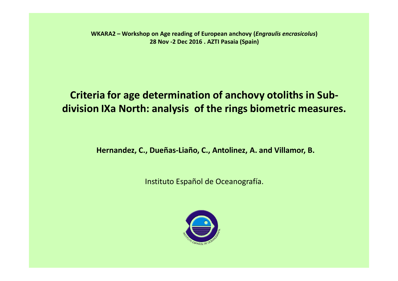**WKARA2 – Workshop on Age reading of European anchovy (***Engraulis encrasicolus***) 28 Nov -2 Dec 2016 . AZTI Pasaia (Spain)**

## **Criteria for age determination of anchovy otoliths in Subdivision IXa North: analysis of the rings biometric measures.**

**Hernandez, C., Dueñas-Liaño, C., Antolinez, A. and Villamor, B.** 

Instituto Español de Oceanografía.

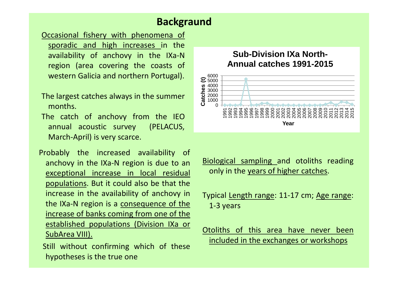#### **Backgraund**

- Occasional fishery with phenomena of sporadic and high increases in the availability of anchovy in the IXa-N region (area covering the coasts of western Galicia and northern Portugal).
- The largest catches always in the summer months.
- The catch of anchovy from the IEO annual acoustic survey (PELACUS, March-April) is very scarce.
- Probably the increased availability of anchovy in the IXa-N region is due to an exceptional increase in local residual populations. But it could also be that the increase in the availability of anchovy in the IXa-N region is a consequence of the increase of banks coming from one of the established populations (Division IXa or SubArea VIII).
- Still without confirming which of these hypotheses is the true one

#### **Sub-Division IXa North-Annual catches 1991-2015**



Biological sampling and otoliths reading only in the years of higher catches.

Typical Length range: 11-17 cm; Age range: 1-3 years

Otoliths of this area have never been included in the exchanges or workshops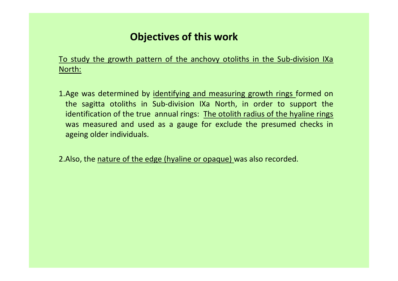### **Objectives of this work**

To study the growth pattern of the anchovy otoliths in the Sub-division IXa North:

1.Age was determined by identifying and measuring growth rings formed on the sagitta otoliths in Sub-division IXa North, in order to support the identification of the true annual rings: The otolith radius of the hyaline rings was measured and used as a gauge for exclude the presumed checks in ageing older individuals.

2.Also, the nature of the edge (hyaline or opaque) was also recorded.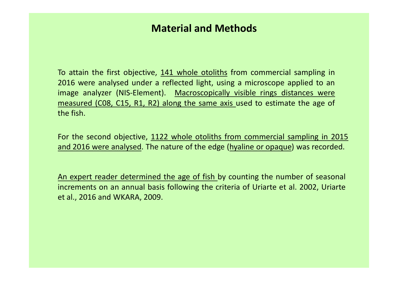#### **Material and Methods**

To attain the first objective, 141 whole otoliths from commercial sampling in 2016 were analysed under a reflected light, using a microscope applied to an image analyzer (NIS-Element). Macroscopically visible rings distances were measured (C08, C15, R1, R2) along the same axis used to estimate the age of the fish.

For the second objective, 1122 whole otoliths from commercial sampling in 2015 and 2016 were analysed. The nature of the edge (hyaline or opaque) was recorded.

An expert reader determined the age of fish by counting the number of seasonal increments on an annual basis following the criteria of Uriarte et al. 2002, Uriarte et al., 2016 and WKARA, 2009.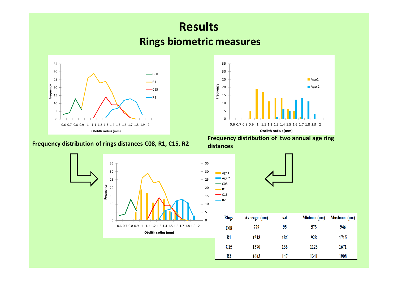# **Results Rings biometric measures**





**Frequency distribution annual age ring**<br>Frequency distribution of two annual age ring<br>distances **distances**

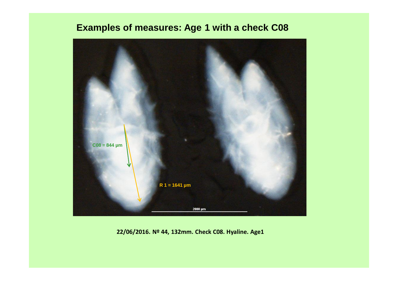#### **Examples of measures: Age 1 with a check C08**



**22/06/2016. Nº 44, 132mm. Check C08. Hyaline. Age1**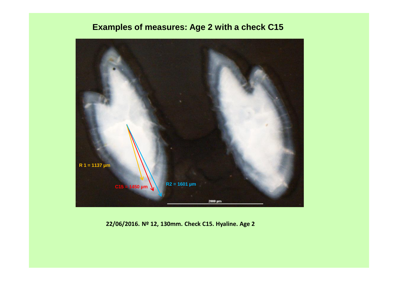#### **Examples of measures: Age 2 with a check C15**



**22/06/2016. Nº 12, 130mm. Check C15. Hyaline. Age 2**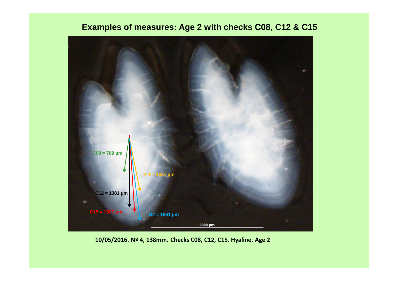#### **Examples of measures: Age 2 with checks C08, C12 & C15**



**10/05/2016. Nº 4, 138mm. Checks C08, C12, C15. Hyaline. Age 2**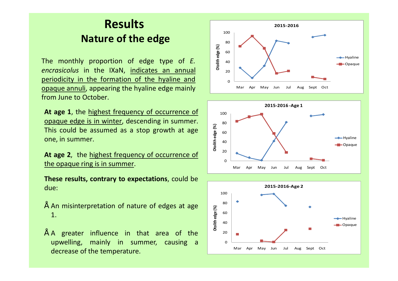# **Results Nature of the edge**

The monthly proportion of edge type of *E. encrasicolus* in the IXaN, indicates an annual periodicity in the formation of the hyaline and opaque annuli, appearing the hyaline edge mainly from June to October.

**At age 1**, the highest frequency of occurrence of opaque edge is in winter, descending in summer. This could be assumed as a stop growth at age one, in summer.

**At age 2**, the highest frequency of occurrence of the opaque ring is in summer.

**These results, contrary to expectations**, could be due:

- An misinterpretation of nature of edges at age 1.
- A greater influence in that area of the upwelling, mainly in summer, causing a decrease of the temperature.





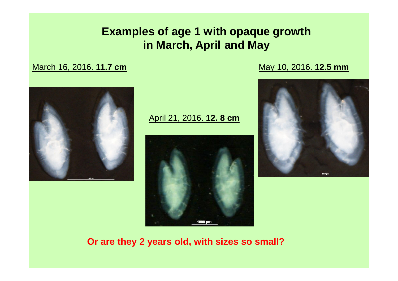# **Examples of age 1 with opaque growth in March, April and May**

March 16, 2016. **11.7 cm**

May 10, 2016. **12.5 mm**



April 21, 2016. **12. 8 cm**





**Or are they 2 years old, with sizes so small?**